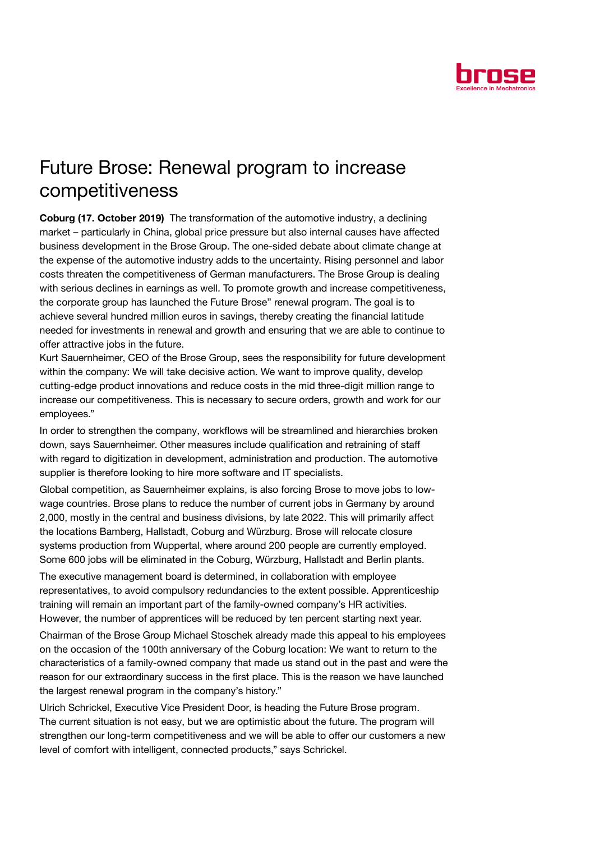

## Future Brose: Renewal program to increase competitiveness

Coburg (17. October 2019) The transformation of the automotive industry, a declining market – particularly in China, global price pressure but also internal causes have affected business development in the Brose Group. The one-sided debate about climate change at the expense of the automotive industry adds to the uncertainty. Rising personnel and labor costs threaten the competitiveness of German manufacturers. The Brose Group is dealing with serious declines in earnings as well. To promote growth and increase competitiveness, the corporate group has launched the Future Brose" renewal program. The goal is to achieve several hundred million euros in savings, thereby creating the financial latitude needed for investments in renewal and growth and ensuring that we are able to continue to offer attractive jobs in the future.

Kurt Sauernheimer, CEO of the Brose Group, sees the responsibility for future development within the company: We will take decisive action. We want to improve quality, develop cutting-edge product innovations and reduce costs in the mid three-digit million range to increase our competitiveness. This is necessary to secure orders, growth and work for our employees."

In order to strengthen the company, workflows will be streamlined and hierarchies broken down, says Sauernheimer. Other measures include qualification and retraining of staff with regard to digitization in development, administration and production. The automotive supplier is therefore looking to hire more software and IT specialists.

Global competition, as Sauernheimer explains, is also forcing Brose to move jobs to lowwage countries. Brose plans to reduce the number of current jobs in Germany by around 2,000, mostly in the central and business divisions, by late 2022. This will primarily affect the locations Bamberg, Hallstadt, Coburg and Würzburg. Brose will relocate closure systems production from Wuppertal, where around 200 people are currently employed. Some 600 jobs will be eliminated in the Coburg, Würzburg, Hallstadt and Berlin plants.

The executive management board is determined, in collaboration with employee representatives, to avoid compulsory redundancies to the extent possible. Apprenticeship training will remain an important part of the family-owned company's HR activities. However, the number of apprentices will be reduced by ten percent starting next year.

Chairman of the Brose Group Michael Stoschek already made this appeal to his employees on the occasion of the 100th anniversary of the Coburg location: We want to return to the characteristics of a family-owned company that made us stand out in the past and were the reason for our extraordinary success in the first place. This is the reason we have launched the largest renewal program in the company's history."

Ulrich Schrickel, Executive Vice President Door, is heading the Future Brose program. The current situation is not easy, but we are optimistic about the future. The program will strengthen our long-term competitiveness and we will be able to offer our customers a new level of comfort with intelligent, connected products," says Schrickel.